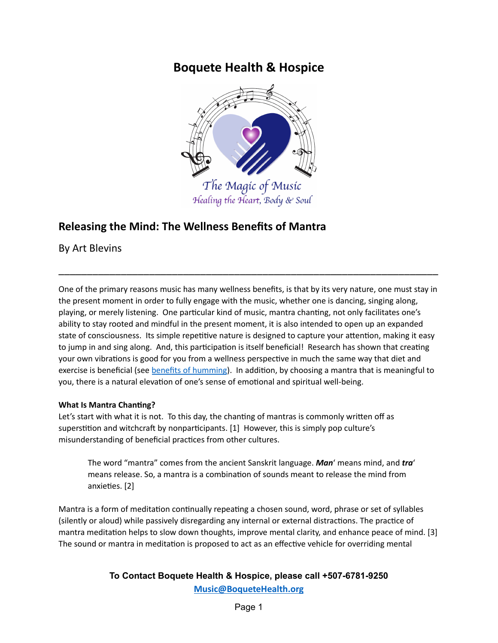# **Boquete Health & Hospice**



# **Releasing the Mind: The Wellness Benefits of Mantra**

By Art Blevins

One of the primary reasons music has many wellness benefits, is that by its very nature, one must stay in the present moment in order to fully engage with the music, whether one is dancing, singing along, playing, or merely listening. One particular kind of music, mantra chanting, not only facilitates one's ability to stay rooted and mindful in the present moment, it is also intended to open up an expanded state of consciousness. Its simple repetitive nature is designed to capture your attention, making it easy to jump in and sing along. And, this participation is itself beneficial! Research has shown that creating your own vibrations is good for you from a wellness perspective in much the same way that diet and exercise is beneficial (see **benefits [of humming](https://www.simonandschuster.com/books/The-Humming-Effect/Jonathan-Goldman/9781620554845)**). In addition, by choosing a mantra that is meaningful to you, there is a natural elevation of one's sense of emotional and spiritual well-being.

\_\_\_\_\_\_\_\_\_\_\_\_\_\_\_\_\_\_\_\_\_\_\_\_\_\_\_\_\_\_\_\_\_\_\_\_\_\_\_\_\_\_\_\_\_\_\_\_\_\_\_\_\_\_\_\_\_\_\_\_\_\_\_\_\_\_\_

## **What Is Mantra Chanting?**

Let's start with what it is not. To this day, the chanting of mantras is commonly written off as superstition and witchcraft by nonparticipants. [1] However, this is simply pop culture's misunderstanding of beneficial practices from other cultures.

The word "mantra" comes from the ancient Sanskrit language. *Man*' means mind, and *tra*' means release. So, a mantra is a combination of sounds meant to release the mind from anxieties. [2]

Mantra is a form of meditation continually repeating a chosen sound, word, phrase or set of syllables (silently or aloud) while passively disregarding any internal or external distractions. The practice of mantra meditation helps to slow down thoughts, improve mental clarity, and enhance peace of mind. [3] The sound or mantra in meditation is proposed to act as an effective vehicle for overriding mental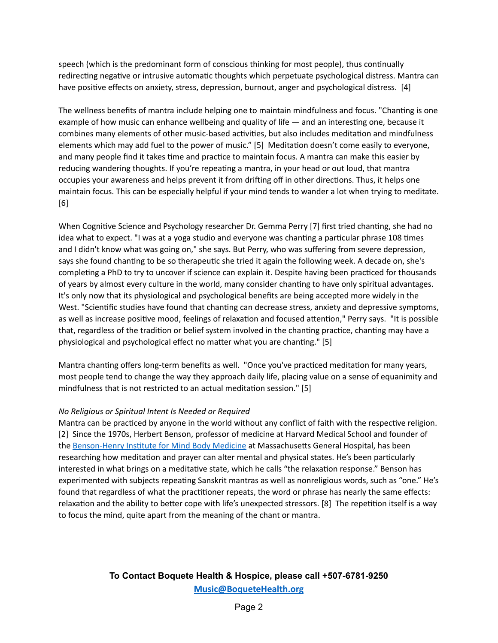speech (which is the predominant form of conscious thinking for most people), thus continually redirecting negative or intrusive automatic thoughts which perpetuate psychological distress. Mantra can have positive effects on anxiety, stress, depression, burnout, anger and psychological distress. [4]

The wellness benefits of mantra include helping one to maintain mindfulness and focus. "Chanting is one example of how music can enhance wellbeing and quality of life  $-$  and an interesting one, because it combines many elements of other music-based activities, but also includes meditation and mindfulness elements which may add fuel to the power of music." [5] Meditation doesn't come easily to everyone, and many people find it takes time and practice to maintain focus. A mantra can make this easier by reducing wandering thoughts. If you're repeating a mantra, in your head or out loud, that mantra occupies your awareness and helps prevent it from drifting off in other directions. Thus, it helps one maintain focus. This can be especially helpful if your mind tends to wander a lot when trying to meditate. [6]

When Cognitive Science and Psychology researcher Dr. Gemma Perry [7] first tried chanting, she had no idea what to expect. "I was at a yoga studio and everyone was chanting a particular phrase 108 times and I didn't know what was going on," she says. But Perry, who was suffering from severe depression, says she found chanting to be so therapeutic she tried it again the following week. A decade on, she's completing a PhD to try to uncover if science can explain it. Despite having been practiced for thousands of years by almost every culture in the world, many consider chanting to have only spiritual advantages. It's only now that its physiological and psychological benefits are being accepted more widely in the West. "Scientific studies have found that chanting can decrease stress, anxiety and depressive symptoms, as well as increase positive mood, feelings of relaxation and focused attention," Perry says. "It is possible that, regardless of the tradition or belief system involved in the chanting practice, chanting may have a physiological and psychological effect no matter what you are chanting." [5]

Mantra chanting offers long-term benefits as well. "Once you've practiced meditation for many years, most people tend to change the way they approach daily life, placing value on a sense of equanimity and mindfulness that is not restricted to an actual meditation session." [5]

## *No Religious or Spiritual Intent Is Needed or Required*

Mantra can be practiced by anyone in the world without any conflict of faith with the respective religion. [2] Since the 1970s, Herbert Benson, professor of medicine at Harvard Medical School and founder of the [Benson-Henry](https://bensonhenryinstitute.org/) Institute for Mind Body Medicine at Massachusetts General Hospital, has been researching how meditation and prayer can alter mental and physical states. He's been particularly interested in what brings on a meditative state, which he calls "the relaxation response." Benson has experimented with subjects repeating Sanskrit mantras as well as nonreligious words, such as "one." He's found that regardless of what the practitioner repeats, the word or phrase has nearly the same effects: relaxation and the ability to better cope with life's unexpected stressors. [8] The repetition itself is a way to focus the mind, quite apart from the meaning of the chant or mantra.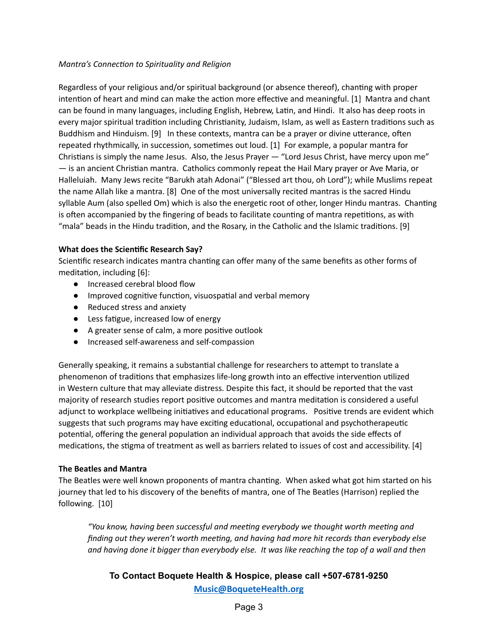#### *Mantra's Connection to Spirituality and Religion*

Regardless of your religious and/or spiritual background (or absence thereof), chanting with proper intention of heart and mind can make the action more effective and meaningful. [1] Mantra and chant can be found in many languages, including English, Hebrew, Latin, and Hindi. It also has deep roots in every major spiritual tradition including Christianity, Judaism, Islam, as well as Eastern traditions such as Buddhism and Hinduism. [9] In these contexts, mantra can be a prayer or divine utterance, often repeated rhythmically, in succession, sometimes out loud. [1] For example, a popular mantra for Christians is simply the name Jesus. Also, the Jesus Prayer  $-$  "Lord Jesus Christ, have mercy upon me"  $-$  is an ancient Christian mantra. Catholics commonly repeat the Hail Mary prayer or Ave Maria, or Halleluiah. Many Jews recite "Barukh atah Adonai" ("Blessed art thou, oh Lord"); while Muslims repeat the name Allah like a mantra. [8] One of the most universally recited mantras is the sacred Hindu syllable Aum (also spelled Om) which is also the energetic root of other, longer Hindu mantras. Chanting is often accompanied by the fingering of beads to facilitate counting of mantra repetitions, as with "mala" beads in the Hindu tradition, and the Rosary, in the Catholic and the Islamic traditions. [9]

#### **What does the Scienfic Research Say?**

Scientific research indicates mantra chanting can offer many of the same benefits as other forms of meditation, including [6]:

- Increased cerebral blood flow
- $\bullet$  Improved cognitive function, visuospatial and verbal memory
- Reduced stress and anxiety
- Less fatigue, increased low of energy
- A greater sense of calm, a more positive outlook
- Increased self-awareness and self-compassion

Generally speaking, it remains a substantial challenge for researchers to attempt to translate a phenomenon of traditions that emphasizes life-long growth into an effective intervention utilized in Western culture that may alleviate distress. Despite this fact, it should be reported that the vast majority of research studies report positive outcomes and mantra meditation is considered a useful adjunct to workplace wellbeing initiatives and educational programs. Positive trends are evident which suggests that such programs may have exciting educational, occupational and psychotherapeutic potential, offering the general population an individual approach that avoids the side effects of medications, the stigma of treatment as well as barriers related to issues of cost and accessibility. [4]

#### **The Beatles and Mantra**

The Beatles were well known proponents of mantra chanting. When asked what got him started on his journey that led to his discovery of the benefits of mantra, one of The Beatles (Harrison) replied the following. [10]

*"You know, having been successful and meeng everybody we thought worth meeng and finding out they weren't worth meeng, and having had more hit records than everybody else and having done it bigger than everybody else. It was like reaching the top of a wall and then*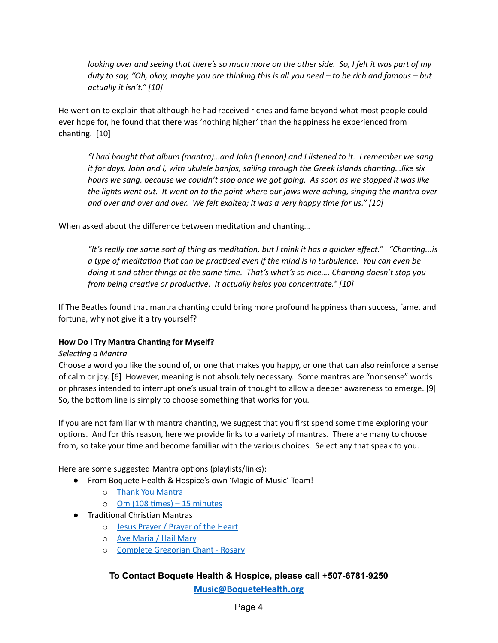looking over and seeing that there's so much more on the other side. So, I felt it was part of my duty to say, "Oh, okay, maybe you are thinking this is all you need - to be rich and famous - but *actually it isn't." [10]*

He went on to explain that although he had received riches and fame beyond what most people could ever hope for, he found that there was 'nothing higher' than the happiness he experienced from chanting. [10]

*"I had bought that album (mantra)…and John (Lennon) and I listened to it. I remember we sang it for days, John and I, with ukulele banjos, sailing through the Greek islands channg…like six* hours we sang, because we couldn't stop once we got going. As soon as we stopped it was like the lights went out. It went on to the point where our jaws were aching, singing the mantra over *and over and over and over. We felt exalted; it was a very happy me for us." [10]*

When asked about the difference between meditation and chanting...

*"It's* really the same sort of thing as meditation, but I think it has a quicker effect." "Chanting...is *a type of meditaon that can be pracced even if the mind is in turbulence. You can even be doing it and other things at the same me. That's what's so nice…. Channg doesn't stop you from being creative or productive. It actually helps you concentrate."* [10]

If The Beatles found that mantra chanting could bring more profound happiness than success, fame, and fortune, why not give it a try yourself?

## **How Do I Try Mantra Channg for Myself?**

#### *Selecng a Mantra*

Choose a word you like the sound of, or one that makes you happy, or one that can also reinforce a sense of calm or joy. [6] However, meaning is not absolutely necessary. Some mantras are "nonsense" words or phrases intended to interrupt one's usual train of thought to allow a deeper awareness to emerge. [9] So, the bottom line is simply to choose something that works for you.

If you are not familiar with mantra chanting, we suggest that you first spend some time exploring your options. And for this reason, here we provide links to a variety of mantras. There are many to choose from, so take your time and become familiar with the various choices. Select any that speak to you.

Here are some suggested Mantra options (playlists/links):

- From Boquete Health & Hospice's own 'Magic of Music' Team!
	- o Thank You [Mantra](https://youtu.be/bw7kZ8za5kY)
	- $o$  Om (108 times) 15 [minutes](https://www.youtube.com/watch?v=-EnEWT4pCsA)
- Traditional Christian Mantras
	- o Jesus [Prayer](https://www.youtube.com/watch?v=ZxiLd5nBTbY) / Prayer of the Heart
	- o Ave [Maria](https://www.youtube.com/watch?v=jdcrabgHSs4) / Hail Mary
	- o Complete [Gregorian](https://www.youtube.com/watch?v=p_shhU_H5Z0) Chant Rosary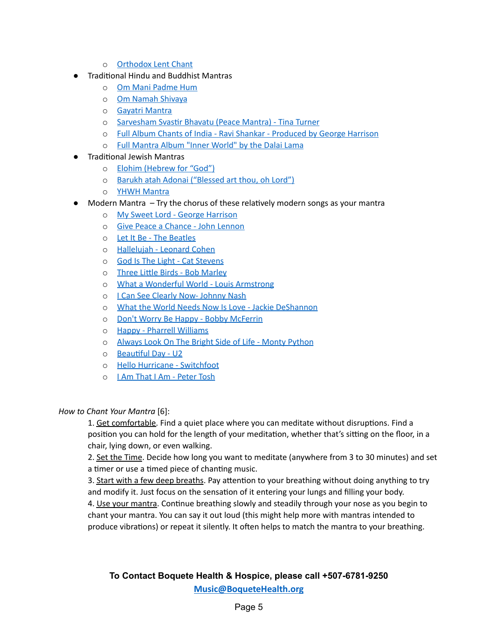- o [Orthodox](https://www.youtube.com/watch?v=YMsuYkzEE4o&list=RDQMt9aLj8jmQWw&start_radio=1) Lent Chant
- **Traditional Hindu and Buddhist Mantras** 
	- o Om Mani [Padme](https://www.youtube.com/watch?v=DpErvDc73AQ) Hum
	- o Om Namah [Shivaya](https://www.youtube.com/watch?v=PTc8X37oJBE)
	- o Gayatri [Mantra](https://www.youtube.com/watch?v=nyAWVSWz6dw)
	- o [Sarvesham](https://www.youtube.com/watch?v=6XP-f7wPM0A) Svastir Bhavatu (Peace Mantra) Tina Turner
	- o Full Album Chants of India Ravi Shankar [Produced](https://www.youtube.com/playlist?list=PLCzEe8p_JW4uLt5OI6PjSkLKQB6lDCLz-) by George Harrison
	- o Full [Mantra](https://www.youtube.com/watch?v=84Fe-2ezVsc&list=PLpdMXsnabi31VR6G0xIq_Im8QS5QO-UxW&index=3) Album "Inner World" by the Dalai Lama
- **Traditional Jewish Mantras** 
	- o Elohim [\(Hebrew](https://www.youtube.com/watch?v=p88F7PiskRk) for "God")
	- o Barukh atah Adonai [\("Blessed](https://www.youtube.com/watch?v=CrwIZMiffLE) art thou, oh Lord")
	- o YHWH [Mantra](https://www.youtube.com/watch?v=hXsB2ACB1SM)
- $\bullet$  Modern Mantra  $\overline{-}$  Try the chorus of these relatively modern songs as your mantra
	- o My Sweet Lord George [Harrison](https://www.youtube.com/watch?v=SP9wms6oEMo)
	- o Give Peace a Chance John [Lennon](https://www.youtube.com/watch?v=C3_0GqPvr4U)
	- o Let It Be The [Beatles](https://www.youtube.com/watch?v=QDYfEBY9NM4)
	- o [Hallelujah](https://www.youtube.com/watch?v=ttEMYvpoR-k) Leonard Cohen
	- o God Is The Light Cat [Stevens](https://www.youtube.com/watch?v=M6NitEhAO-I)
	- o Three Little Birds Bob [Marley](https://www.youtube.com/watch?v=LanCLS_hIo4)
	- o What a [Wonderful](https://www.youtube.com/watch?v=A3yCcXgbKrE) World Louis Armstrong
	- o I Can See Clearly Now- [Johnny](https://www.youtube.com/watch?v=g_rB4v75jqU) Nash
	- o What the World Needs Now Is Love Jackie [DeShannon](https://www.youtube.com/watch?v=UillI-tSgqY)
	- o Don't Worry Be Happy Bobby [McFerrin](https://www.youtube.com/watch?v=d-diB65scQU)
	- o Happy Pharrell [Williams](https://www.youtube.com/watch?v=C7dPqrmDWxs)
	- o Always Look On The Bright Side of Life Monty [Python](https://www.youtube.com/watch?v=SJUhlRoBL8M)
	- $\circ$  Beautiful Day U2
	- o Hello Hurricane [Switchfoot](https://www.youtube.com/watch?v=7Era-UhFAeQ)
	- o I Am That I Am [Peter](https://www.youtube.com/watch?v=2DMTgTaWGnE) Tosh

#### *How to Chant Your Mantra* [6]:

1. Get comfortable. Find a quiet place where you can meditate without disruptions. Find a position you can hold for the length of your meditation, whether that's sitting on the floor, in a chair, lying down, or even walking.

2. Set the Time. Decide how long you want to meditate (anywhere from 3 to 30 minutes) and set a timer or use a timed piece of chanting music.

3. Start with a few deep breaths. Pay attention to your breathing without doing anything to try and modify it. Just focus on the sensation of it entering your lungs and filling your body.

4. Use your mantra. Continue breathing slowly and steadily through your nose as you begin to chant your mantra. You can say it out loud (this might help more with mantras intended to produce vibrations) or repeat it silently. It often helps to match the mantra to your breathing.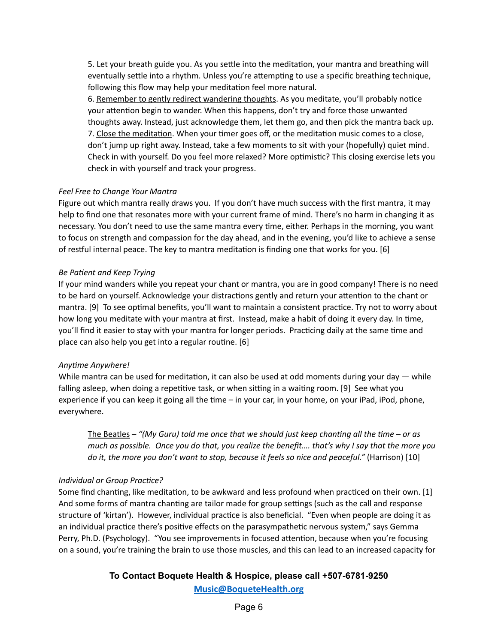5. Let your breath guide you. As you settle into the meditation, your mantra and breathing will eventually settle into a rhythm. Unless you're attempting to use a specific breathing technique, following this flow may help your meditation feel more natural.

6. Remember to gently redirect wandering thoughts. As you meditate, you'll probably notice your attention begin to wander. When this happens, don't try and force those unwanted thoughts away. Instead, just acknowledge them, let them go, and then pick the mantra back up. 7. Close the meditation. When your timer goes off, or the meditation music comes to a close, don't jump up right away. Instead, take a few moments to sit with your (hopefully) quiet mind. Check in with yourself. Do you feel more relaxed? More optimistic? This closing exercise lets you check in with yourself and track your progress.

#### *Feel Free to Change Your Mantra*

Figure out which mantra really draws you. If you don't have much success with the first mantra, it may help to find one that resonates more with your current frame of mind. There's no harm in changing it as necessary. You don't need to use the same mantra every time, either. Perhaps in the morning, you want to focus on strength and compassion for the day ahead, and in the evening, you'd like to achieve a sense of restful internal peace. The key to mantra meditation is finding one that works for you. [6]

#### *Be Patient and Keep Trying*

If your mind wanders while you repeat your chant or mantra, you are in good company! There is no need to be hard on yourself. Acknowledge your distractions gently and return your attention to the chant or mantra. [9] To see optimal benefits, you'll want to maintain a consistent practice. Try not to worry about how long you meditate with your mantra at first. Instead, make a habit of doing it every day. In time, you'll find it easier to stay with your mantra for longer periods. Practicing daily at the same time and place can also help you get into a regular routine.  $[6]$ 

#### *Anyme Anywhere!*

While mantra can be used for meditation, it can also be used at odd moments during your day  $-$  while falling asleep, when doing a repetitive task, or when sitting in a waiting room. [9] See what you experience if you can keep it going all the time  $-$  in your car, in your home, on your iPad, iPod, phone, everywhere.

The Beatles – *"(My Guru) told me once that we should just keep channg all the me – or as* much as possible. Once you do that, you realize the benefit.... that's why I say that the more you *do it, the more you don't want to stop, because it feels so nice and peaceful."* (Harrison) [10]

## *Individual or Group Pracce?*

Some find chanting, like meditation, to be awkward and less profound when practiced on their own. [1] And some forms of mantra chanting are tailor made for group settings (such as the call and response structure of 'kirtan'). However, individual practice is also beneficial. "Even when people are doing it as an individual practice there's positive effects on the parasympathetic nervous system," says Gemma Perry, Ph.D. (Psychology). "You see improvements in focused attention, because when you're focusing on a sound, you're training the brain to use those muscles, and this can lead to an increased capacity for

# **To Contact Boquete Health & Hospice, please call +507-6781-9250**

**[Music@BoqueteHealth.org](mailto:Music@boquetehospice.org)**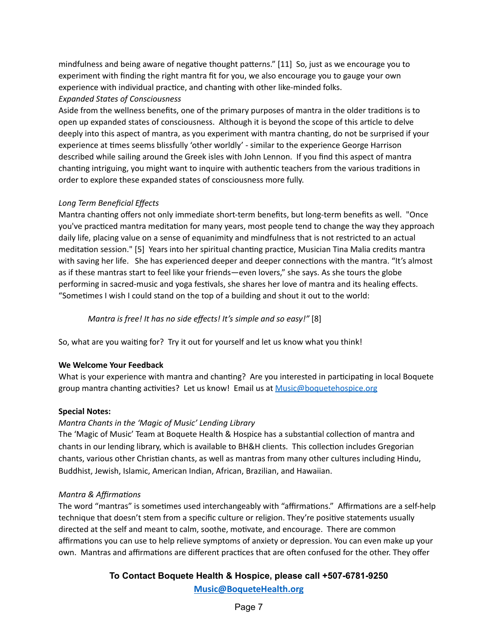mindfulness and being aware of negative thought patterns." [11] So, just as we encourage you to experiment with finding the right mantra fit for you, we also encourage you to gauge your own experience with individual practice, and chanting with other like-minded folks.

### *Expanded States of Consciousness*

Aside from the wellness benefits, one of the primary purposes of mantra in the older traditions is to open up expanded states of consciousness. Although it is beyond the scope of this article to delve deeply into this aspect of mantra, as you experiment with mantra chanting, do not be surprised if your experience at times seems blissfully 'other worldly' - similar to the experience George Harrison described while sailing around the Greek isles with John Lennon. If you find this aspect of mantra chanting intriguing, you might want to inquire with authentic teachers from the various traditions in order to explore these expanded states of consciousness more fully.

#### *Long Term Beneficial Effects*

Mantra chanting offers not only immediate short-term benefits, but long-term benefits as well. "Once you've practiced mantra meditation for many years, most people tend to change the way they approach daily life, placing value on a sense of equanimity and mindfulness that is not restricted to an actual meditation session." [5] Years into her spiritual chanting practice, Musician Tina Malia credits mantra with saving her life. She has experienced deeper and deeper connections with the mantra. "It's almost as if these mantras start to feel like your friends—even lovers," she says. As she tours the globe performing in sacred-music and yoga festivals, she shares her love of mantra and its healing effects. "Sometimes I wish I could stand on the top of a building and shout it out to the world:

*Mantra is free! It has no side effects! It's simple and so easy!"* [8]

So, what are you waiting for? Try it out for yourself and let us know what you think!

#### **We Welcome Your Feedback**

What is your experience with mantra and chanting? Are you interested in participating in local Boquete group mantra chanting activities? Let us know! Email us at [Music@boquetehospice.org](mailto:Music@boquetehospice.org)

#### **Special Notes:**

## *Mantra Chants in the 'Magic of Music' Lending Library*

The 'Magic of Music' Team at Boquete Health & Hospice has a substantial collection of mantra and chants in our lending library, which is available to BH&H clients. This collection includes Gregorian chants, various other Christian chants, as well as mantras from many other cultures including Hindu, Buddhist, Jewish, Islamic, American Indian, African, Brazilian, and Hawaiian.

#### *Mantra* & *Affirmations*

The word "mantras" is sometimes used interchangeably with "affirmations." Affirmations are a self-help technique that doesn't stem from a specific culture or religion. They're positive statements usually directed at the self and meant to calm, soothe, motivate, and encourage. There are common affirmations you can use to help relieve symptoms of anxiety or depression. You can even make up your own. Mantras and affirmations are different practices that are often confused for the other. They offer

# **To Contact Boquete Health & Hospice, please call +507-6781-9250**

**[Music@BoqueteHealth.org](mailto:Music@boquetehospice.org)**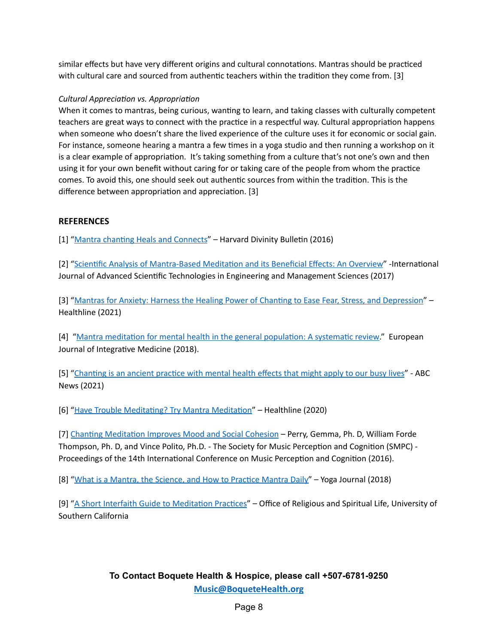similar effects but have very different origins and cultural connotations. Mantras should be practiced with cultural care and sourced from authentic teachers within the tradition they come from. [3]

## *Cultural Appreciation vs. Appropriation*

When it comes to mantras, being curious, wanting to learn, and taking classes with culturally competent teachers are great ways to connect with the practice in a respectful way. Cultural appropriation happens when someone who doesn't share the lived experience of the culture uses it for economic or social gain. For instance, someone hearing a mantra a few times in a yoga studio and then running a workshop on it is a clear example of appropriation. It's taking something from a culture that's not one's own and then using it for your own benefit without caring for or taking care of the people from whom the practice comes. To avoid this, one should seek out authentic sources from within the tradition. This is the difference between appropriation and appreciation. [3]

## **REFERENCES**

[1] "Mantra chanting Heals and [Connects](https://bulletin.hds.harvard.edu/mantra-chanting-heals-and-connects/)" – Harvard Divinity Bulletin (2016)

[2] "Scientific Analysis [of Mantra-Based](https://www.researchgate.net/publication/318395933_Scientific_Analysis_of_Mantra-Based_Meditation_and_its_Beneficial_Effects_An_Overview) Meditation and its Beneficial Effects: An Overview" -International Journal of Advanced Scienfic Technologies in Engineering and Management Sciences (2017)

[3] "Mantras for Anxiety: Harness the Healing Power of Chanting to Ease Fear, Stress, and Depression" – Healthline (2021)

[4] "Mantra meditation for mental health in the general population: A systematic review." European Journal of Integrative Medicine (2018).

[5] "Chanting is an ancient practice with mental health effects that might apply to our busy lives" - ABC News (2021)

[6] "Have Trouble Meditating? Try Mantra Meditation" – Healthline (2020)

[7] Chanting Meditation Improves Mood and Social Cohesion – Perry, Gemma, Ph. D, William Forde Thompson, Ph. D, and Vince Polito, Ph.D. - The Society for Music Perception and Cognition (SMPC) -Proceedings of the 14th International Conference on Music Perception and Cognition (2016).

[8] "What is a Mantra, the [Science,](https://www.yogajournal.com/yoga-101/mantras-101-the-science-behind-finding-your-mantra-and-how-to-practice-it/) and How to Practice Mantra Daily" – Yoga Journal (2018)

[9] "A Short Interfaith Guide to Meditation Practices" – Office of Religious and Spiritual Life, University of Southern California